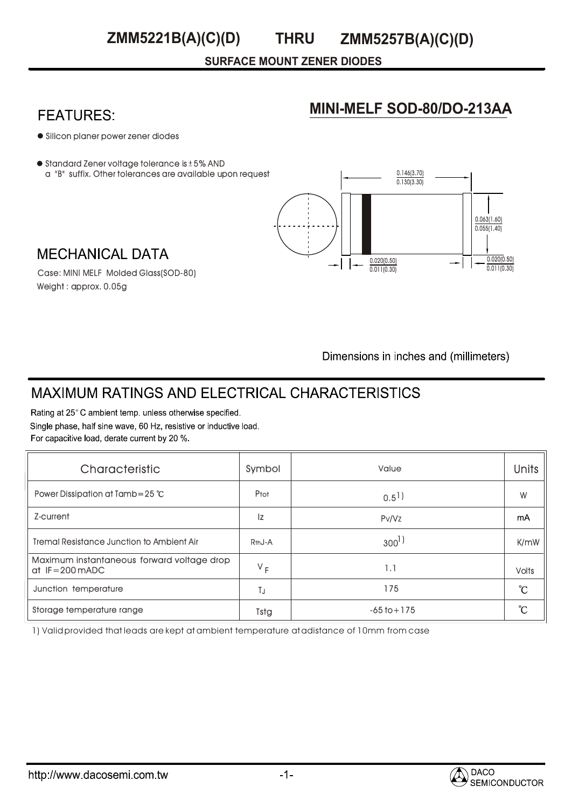**SURFACE MOUNT ZENER DIODES**

# **FEATURES:**

## **MINI-MELF SOD-80/DO-213AA**

- Silicon planer power zener diodes
- $\bullet$  Standard Zener voltage tolerance is  $\pm$  5% AND a "B" suffix. Other tolerances are available upon request



**MECHANICAL DATA** Case: MINI MELF Molded Glass(SOD-80)

Weight : approx. 0.05g

Dimensions in inches and (millimeters)

# **MAXIMUM RATINGS AND ELECTRICAL CHARACTERISTICS**

Rating at 25°C ambient temp. unless otherwise specified. Single phase, half sine wave, 60 Hz, resistive or inductive load. For capacitive load, derate current by 20 %.

| Characteristic                                                           | Symbol              | Value                | <b>Units</b> |
|--------------------------------------------------------------------------|---------------------|----------------------|--------------|
| Power Dissipation at Tamb=25 $°C$                                        | Ptot                | $0.5$ <sup>1</sup> ) | W            |
| Z-current                                                                | Iz                  | Pv/Vz                | mA           |
| <b>Tremal Resistance Junction to Ambient Air</b>                         | R <sub>th</sub> J-A | $300^{\frac{1}{2}}$  | K/mW         |
| Maximum instantaneous forward voltage drop<br>at $IF = 200 \text{ mADC}$ | $V_F$               | 1.1                  | <b>Volts</b> |
| Junction temperature                                                     | TJ.                 | 175                  | °C           |
| Storage temperature range                                                | Tstg                | $-65$ to $+175$      | °C           |

1) Valid provided that leads are kept at ambient temperature at adistance of 10mm from case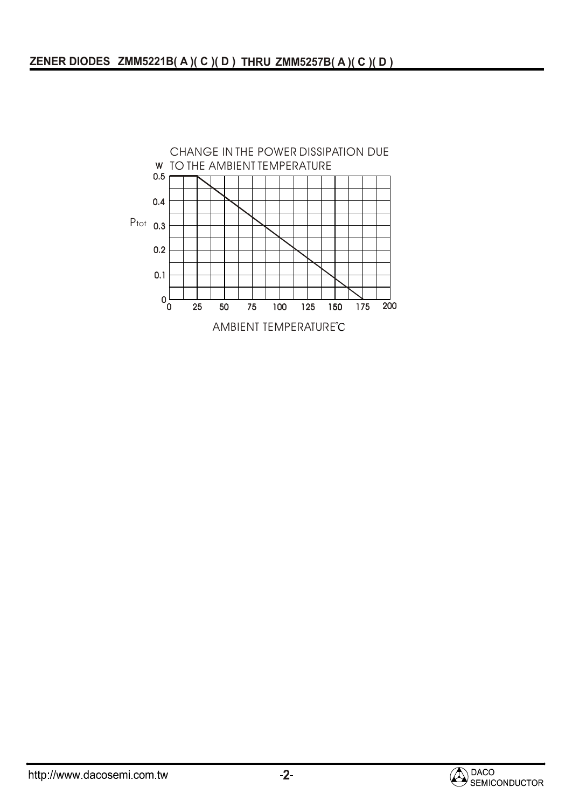